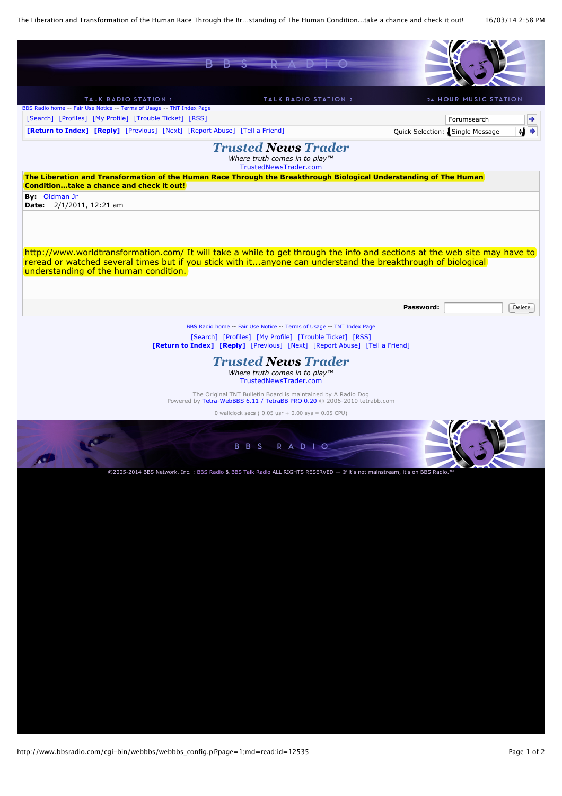The Liberation and Transformation of the Human Race Through the Br…standing of The Human Condition...take a chance and check it out! 16/03/14 2:58 PM